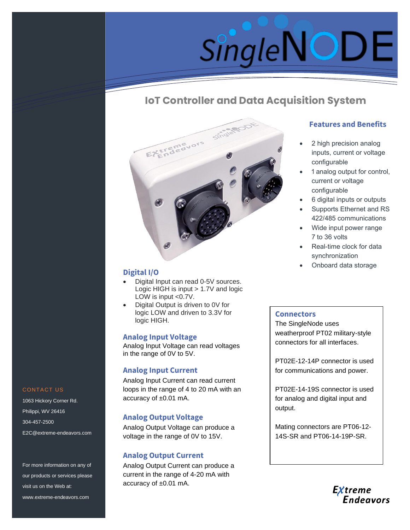

# **IoT Controller and Data Acquisition System**



# **Digital I/O**

- Digital Input can read 0-5V sources. Logic HIGH is input > 1.7V and logic LOW is input <0.7V.
- Digital Output is driven to 0V for logic LOW and driven to 3.3V for logic HIGH.

## **Analog Input Voltage**

Analog Input Voltage can read voltages in the range of 0V to 5V.

# **Analog Input Current**

Analog Input Current can read current loops in the range of 4 to 20 mA with an accuracy of ±0.01 mA.

# **Analog Output Voltage**

Analog Output Voltage can produce a voltage in the range of 0V to 15V.

## **Analog Output Current**

Analog Output Current can produce a current in the range of 4-20 mA with accuracy of ±0.01 mA.

# **Features and Benefits**

- 2 high precision analog inputs, current or voltage configurable
- 1 analog output for control, current or voltage configurable
- 6 digital inputs or outputs
- Supports Ethernet and RS 422/485 communications
- Wide input power range 7 to 36 volts
- Real-time clock for data synchronization
- Onboard data storage

#### **Connectors**

The SingleNode uses weatherproof PT02 military-style connectors for all interfaces.

PT02E-12-14P connector is used for communications and power.

PT02E-14-19S connector is used for analog and digital input and output.

Mating connectors are PT06-12- 14S-SR and PT06-14-19P-SR.



#### CONTACT US

1063 Hickory Corner Rd. Philippi, WV 26416 304-457-2500 E2C@extreme-endeavors.com

For more information on any of our products or services please visit us on the Web at: www.extreme-endeavors.com